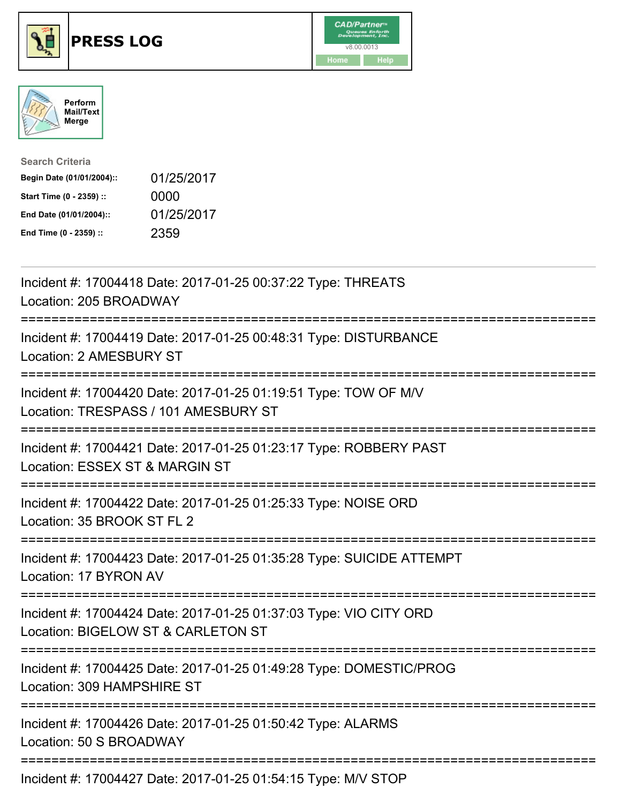





| <b>Search Criteria</b>    |            |
|---------------------------|------------|
| Begin Date (01/01/2004):: | 01/25/2017 |
| Start Time (0 - 2359) ::  | 0000       |
| End Date (01/01/2004)::   | 01/25/2017 |
| End Time (0 - 2359) ::    | 2359       |

| Incident #: 17004418 Date: 2017-01-25 00:37:22 Type: THREATS<br>Location: 205 BROADWAY                                                     |
|--------------------------------------------------------------------------------------------------------------------------------------------|
| Incident #: 17004419 Date: 2017-01-25 00:48:31 Type: DISTURBANCE<br>Location: 2 AMESBURY ST                                                |
| Incident #: 17004420 Date: 2017-01-25 01:19:51 Type: TOW OF M/V<br>Location: TRESPASS / 101 AMESBURY ST                                    |
| Incident #: 17004421 Date: 2017-01-25 01:23:17 Type: ROBBERY PAST<br>Location: ESSEX ST & MARGIN ST                                        |
| Incident #: 17004422 Date: 2017-01-25 01:25:33 Type: NOISE ORD<br>Location: 35 BROOK ST FL 2                                               |
| Incident #: 17004423 Date: 2017-01-25 01:35:28 Type: SUICIDE ATTEMPT<br>Location: 17 BYRON AV                                              |
| Incident #: 17004424 Date: 2017-01-25 01:37:03 Type: VIO CITY ORD<br>Location: BIGELOW ST & CARLETON ST<br>;============================== |
| Incident #: 17004425 Date: 2017-01-25 01:49:28 Type: DOMESTIC/PROG<br>Location: 309 HAMPSHIRE ST                                           |
| Incident #: 17004426 Date: 2017-01-25 01:50:42 Type: ALARMS<br>Location: 50 S BROADWAY                                                     |
| Incident #: 17004427 Date: 2017-01-25 01:54:15 Type: M/V STOP                                                                              |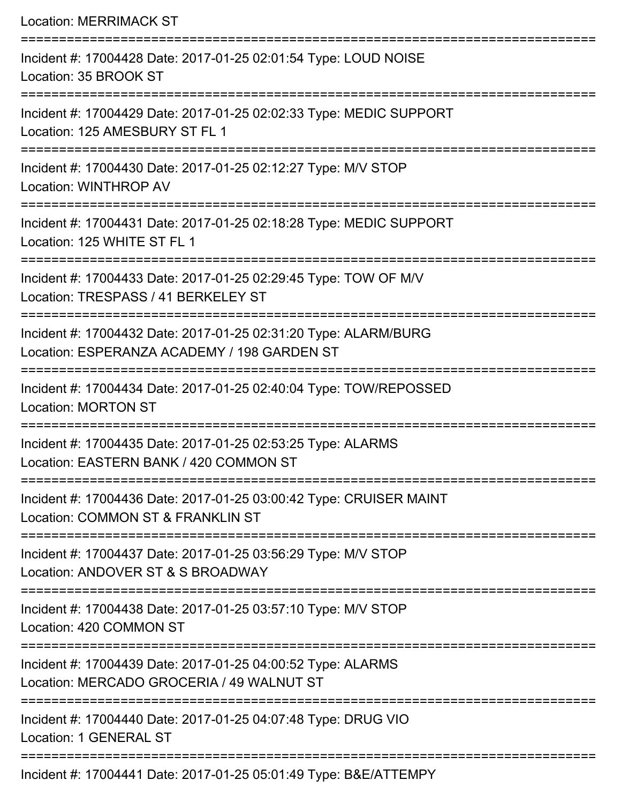| <b>Location: MERRIMACK ST</b>                                                                                  |
|----------------------------------------------------------------------------------------------------------------|
| Incident #: 17004428 Date: 2017-01-25 02:01:54 Type: LOUD NOISE<br>Location: 35 BROOK ST                       |
| Incident #: 17004429 Date: 2017-01-25 02:02:33 Type: MEDIC SUPPORT<br>Location: 125 AMESBURY ST FL 1           |
| Incident #: 17004430 Date: 2017-01-25 02:12:27 Type: M/V STOP<br><b>Location: WINTHROP AV</b>                  |
| Incident #: 17004431 Date: 2017-01-25 02:18:28 Type: MEDIC SUPPORT<br>Location: 125 WHITE ST FL 1              |
| Incident #: 17004433 Date: 2017-01-25 02:29:45 Type: TOW OF M/V<br>Location: TRESPASS / 41 BERKELEY ST         |
| Incident #: 17004432 Date: 2017-01-25 02:31:20 Type: ALARM/BURG<br>Location: ESPERANZA ACADEMY / 198 GARDEN ST |
| Incident #: 17004434 Date: 2017-01-25 02:40:04 Type: TOW/REPOSSED<br><b>Location: MORTON ST</b>                |
| Incident #: 17004435 Date: 2017-01-25 02:53:25 Type: ALARMS<br>Location: EASTERN BANK / 420 COMMON ST          |
| Incident #: 17004436 Date: 2017-01-25 03:00:42 Type: CRUISER MAINT<br>Location: COMMON ST & FRANKLIN ST        |
| Incident #: 17004437 Date: 2017-01-25 03:56:29 Type: M/V STOP<br>Location: ANDOVER ST & S BROADWAY             |
| Incident #: 17004438 Date: 2017-01-25 03:57:10 Type: M/V STOP<br>Location: 420 COMMON ST                       |
| Incident #: 17004439 Date: 2017-01-25 04:00:52 Type: ALARMS<br>Location: MERCADO GROCERIA / 49 WALNUT ST       |
| Incident #: 17004440 Date: 2017-01-25 04:07:48 Type: DRUG VIO<br><b>Location: 1 GENERAL ST</b>                 |
| $\frac{1}{2}$                                                                                                  |

Incident #: 17004441 Date: 2017-01-25 05:01:49 Type: B&E/ATTEMPY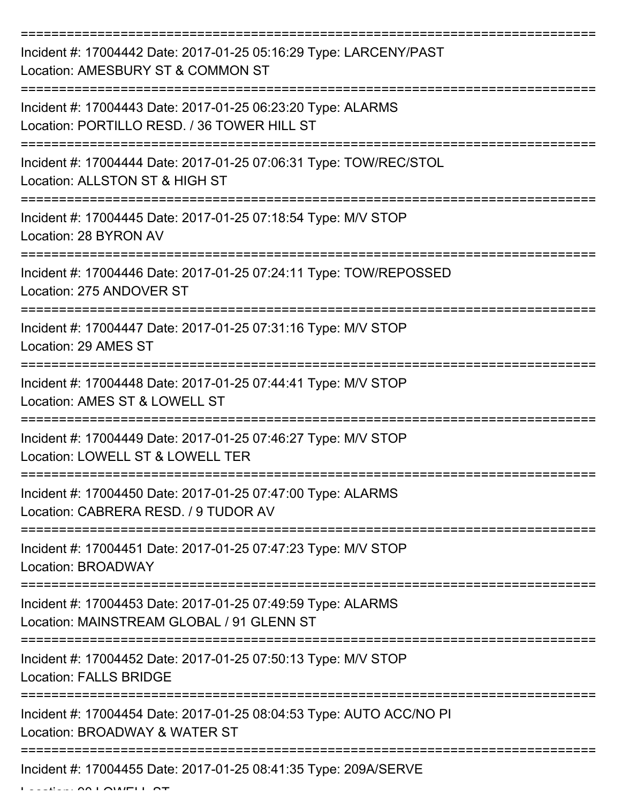| Incident #: 17004442 Date: 2017-01-25 05:16:29 Type: LARCENY/PAST<br>Location: AMESBURY ST & COMMON ST     |
|------------------------------------------------------------------------------------------------------------|
| Incident #: 17004443 Date: 2017-01-25 06:23:20 Type: ALARMS<br>Location: PORTILLO RESD. / 36 TOWER HILL ST |
| Incident #: 17004444 Date: 2017-01-25 07:06:31 Type: TOW/REC/STOL<br>Location: ALLSTON ST & HIGH ST        |
| Incident #: 17004445 Date: 2017-01-25 07:18:54 Type: M/V STOP<br>Location: 28 BYRON AV                     |
| Incident #: 17004446 Date: 2017-01-25 07:24:11 Type: TOW/REPOSSED<br>Location: 275 ANDOVER ST              |
| Incident #: 17004447 Date: 2017-01-25 07:31:16 Type: M/V STOP<br>Location: 29 AMES ST                      |
| Incident #: 17004448 Date: 2017-01-25 07:44:41 Type: M/V STOP<br>Location: AMES ST & LOWELL ST             |
| Incident #: 17004449 Date: 2017-01-25 07:46:27 Type: M/V STOP<br>Location: LOWELL ST & LOWELL TER          |
| Incident #: 17004450 Date: 2017-01-25 07:47:00 Type: ALARMS<br>Location: CABRERA RESD, / 9 TUDOR AV        |
| Incident #: 17004451 Date: 2017-01-25 07:47:23 Type: M/V STOP<br>Location: BROADWAY                        |
| Incident #: 17004453 Date: 2017-01-25 07:49:59 Type: ALARMS<br>Location: MAINSTREAM GLOBAL / 91 GLENN ST   |
| Incident #: 17004452 Date: 2017-01-25 07:50:13 Type: M/V STOP<br><b>Location: FALLS BRIDGE</b>             |
| Incident #: 17004454 Date: 2017-01-25 08:04:53 Type: AUTO ACC/NO PI<br>Location: BROADWAY & WATER ST       |
| Incident #: 17004455 Date: 2017-01-25 08:41:35 Type: 209A/SERVE                                            |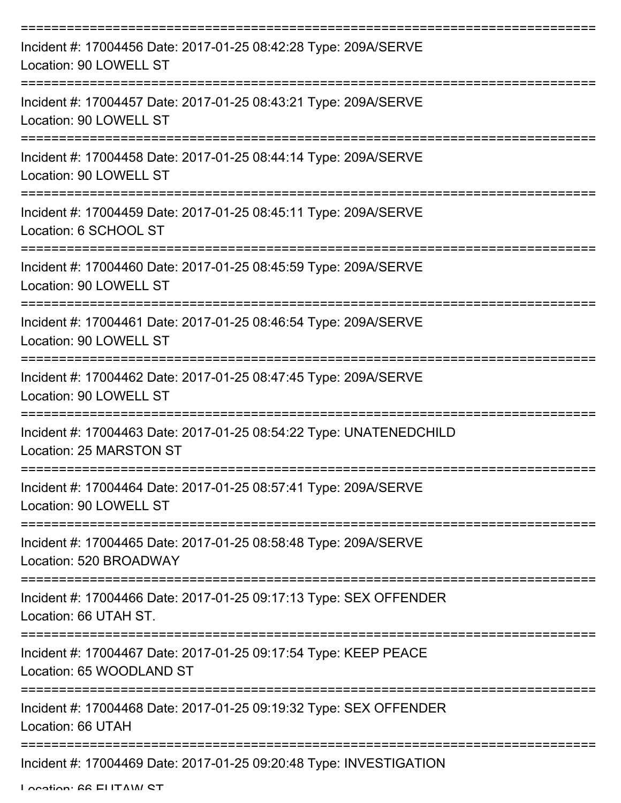| Incident #: 17004456 Date: 2017-01-25 08:42:28 Type: 209A/SERVE<br>Location: 90 LOWELL ST     |
|-----------------------------------------------------------------------------------------------|
| Incident #: 17004457 Date: 2017-01-25 08:43:21 Type: 209A/SERVE<br>Location: 90 LOWELL ST     |
| Incident #: 17004458 Date: 2017-01-25 08:44:14 Type: 209A/SERVE<br>Location: 90 LOWELL ST     |
| Incident #: 17004459 Date: 2017-01-25 08:45:11 Type: 209A/SERVE<br>Location: 6 SCHOOL ST      |
| Incident #: 17004460 Date: 2017-01-25 08:45:59 Type: 209A/SERVE<br>Location: 90 LOWELL ST     |
| Incident #: 17004461 Date: 2017-01-25 08:46:54 Type: 209A/SERVE<br>Location: 90 LOWELL ST     |
| Incident #: 17004462 Date: 2017-01-25 08:47:45 Type: 209A/SERVE<br>Location: 90 LOWELL ST     |
| Incident #: 17004463 Date: 2017-01-25 08:54:22 Type: UNATENEDCHILD<br>Location: 25 MARSTON ST |
| Incident #: 17004464 Date: 2017-01-25 08:57:41 Type: 209A/SERVE<br>Location: 90 LOWELL ST     |
| Incident #: 17004465 Date: 2017-01-25 08:58:48 Type: 209A/SERVE<br>Location: 520 BROADWAY     |
| Incident #: 17004466 Date: 2017-01-25 09:17:13 Type: SEX OFFENDER<br>Location: 66 UTAH ST.    |
| Incident #: 17004467 Date: 2017-01-25 09:17:54 Type: KEEP PEACE<br>Location: 65 WOODLAND ST   |
| Incident #: 17004468 Date: 2017-01-25 09:19:32 Type: SEX OFFENDER<br>Location: 66 UTAH        |
| Incident #: 17004469 Date: 2017-01-25 09:20:48 Type: INVESTIGATION                            |

Location: 66 ELITAIN ST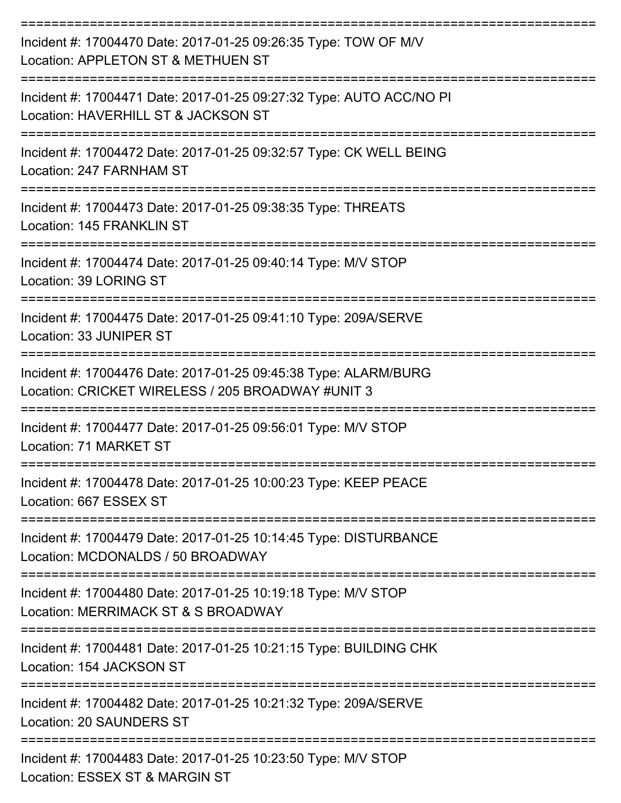| Incident #: 17004470 Date: 2017-01-25 09:26:35 Type: TOW OF M/V<br>Location: APPLETON ST & METHUEN ST                |
|----------------------------------------------------------------------------------------------------------------------|
| Incident #: 17004471 Date: 2017-01-25 09:27:32 Type: AUTO ACC/NO PI<br>Location: HAVERHILL ST & JACKSON ST           |
| Incident #: 17004472 Date: 2017-01-25 09:32:57 Type: CK WELL BEING<br>Location: 247 FARNHAM ST                       |
| Incident #: 17004473 Date: 2017-01-25 09:38:35 Type: THREATS<br>Location: 145 FRANKLIN ST                            |
| Incident #: 17004474 Date: 2017-01-25 09:40:14 Type: M/V STOP<br>Location: 39 LORING ST                              |
| Incident #: 17004475 Date: 2017-01-25 09:41:10 Type: 209A/SERVE<br>Location: 33 JUNIPER ST                           |
| Incident #: 17004476 Date: 2017-01-25 09:45:38 Type: ALARM/BURG<br>Location: CRICKET WIRELESS / 205 BROADWAY #UNIT 3 |
| Incident #: 17004477 Date: 2017-01-25 09:56:01 Type: M/V STOP<br>Location: 71 MARKET ST                              |
| Incident #: 17004478 Date: 2017-01-25 10:00:23 Type: KEEP PEACE<br>Location: 667 ESSEX ST<br>----------------        |
| Incident #: 17004479 Date: 2017-01-25 10:14:45 Type: DISTURBANCE<br>Location: MCDONALDS / 50 BROADWAY                |
| Incident #: 17004480 Date: 2017-01-25 10:19:18 Type: M/V STOP<br>Location: MERRIMACK ST & S BROADWAY                 |
| Incident #: 17004481 Date: 2017-01-25 10:21:15 Type: BUILDING CHK<br>Location: 154 JACKSON ST                        |
| Incident #: 17004482 Date: 2017-01-25 10:21:32 Type: 209A/SERVE<br>Location: 20 SAUNDERS ST                          |
| Incident #: 17004483 Date: 2017-01-25 10:23:50 Type: M/V STOP<br>Location: ESSEX ST & MARGIN ST                      |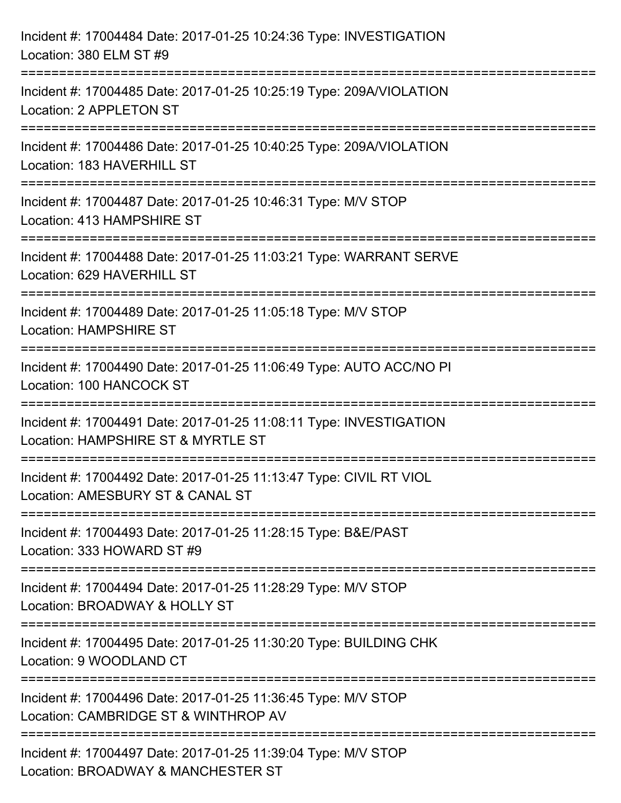| Incident #: 17004484 Date: 2017-01-25 10:24:36 Type: INVESTIGATION<br>Location: 380 ELM ST #9                                                                                   |
|---------------------------------------------------------------------------------------------------------------------------------------------------------------------------------|
| :=========================<br>Incident #: 17004485 Date: 2017-01-25 10:25:19 Type: 209A/VIOLATION<br>Location: 2 APPLETON ST                                                    |
| Incident #: 17004486 Date: 2017-01-25 10:40:25 Type: 209A/VIOLATION<br>Location: 183 HAVERHILL ST<br>;====================================<br>:================================ |
| Incident #: 17004487 Date: 2017-01-25 10:46:31 Type: M/V STOP<br>Location: 413 HAMPSHIRE ST                                                                                     |
| Incident #: 17004488 Date: 2017-01-25 11:03:21 Type: WARRANT SERVE<br>Location: 629 HAVERHILL ST<br>-------------------------------                                             |
| Incident #: 17004489 Date: 2017-01-25 11:05:18 Type: M/V STOP<br><b>Location: HAMPSHIRE ST</b>                                                                                  |
| Incident #: 17004490 Date: 2017-01-25 11:06:49 Type: AUTO ACC/NO PI<br>Location: 100 HANCOCK ST                                                                                 |
| Incident #: 17004491 Date: 2017-01-25 11:08:11 Type: INVESTIGATION<br>Location: HAMPSHIRE ST & MYRTLE ST                                                                        |
| Incident #: 17004492 Date: 2017-01-25 11:13:47 Type: CIVIL RT VIOL<br>Location: AMESBURY ST & CANAL ST                                                                          |
| Incident #: 17004493 Date: 2017-01-25 11:28:15 Type: B&E/PAST<br>Location: 333 HOWARD ST #9                                                                                     |
| Incident #: 17004494 Date: 2017-01-25 11:28:29 Type: M/V STOP<br>Location: BROADWAY & HOLLY ST                                                                                  |
| Incident #: 17004495 Date: 2017-01-25 11:30:20 Type: BUILDING CHK<br>Location: 9 WOODLAND CT                                                                                    |
| Incident #: 17004496 Date: 2017-01-25 11:36:45 Type: M/V STOP<br>Location: CAMBRIDGE ST & WINTHROP AV                                                                           |
| Incident #: 17004497 Date: 2017-01-25 11:39:04 Type: M/V STOP<br>Location: BROADWAY & MANCHESTER ST                                                                             |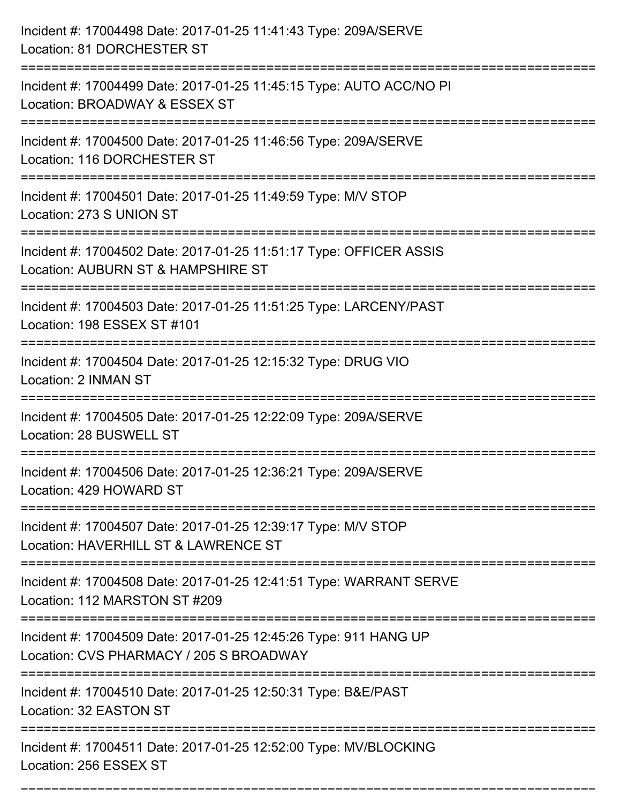| Incident #: 17004498 Date: 2017-01-25 11:41:43 Type: 209A/SERVE<br>Location: 81 DORCHESTER ST                                                  |
|------------------------------------------------------------------------------------------------------------------------------------------------|
| --------------------------------------<br>Incident #: 17004499 Date: 2017-01-25 11:45:15 Type: AUTO ACC/NO PI<br>Location: BROADWAY & ESSEX ST |
| Incident #: 17004500 Date: 2017-01-25 11:46:56 Type: 209A/SERVE<br>Location: 116 DORCHESTER ST<br>:============================                |
| Incident #: 17004501 Date: 2017-01-25 11:49:59 Type: M/V STOP<br>Location: 273 S UNION ST                                                      |
| Incident #: 17004502 Date: 2017-01-25 11:51:17 Type: OFFICER ASSIS<br>Location: AUBURN ST & HAMPSHIRE ST<br>___________________                |
| Incident #: 17004503 Date: 2017-01-25 11:51:25 Type: LARCENY/PAST<br>Location: 198 ESSEX ST #101                                               |
| Incident #: 17004504 Date: 2017-01-25 12:15:32 Type: DRUG VIO<br>Location: 2 INMAN ST                                                          |
| Incident #: 17004505 Date: 2017-01-25 12:22:09 Type: 209A/SERVE<br>Location: 28 BUSWELL ST                                                     |
| Incident #: 17004506 Date: 2017-01-25 12:36:21 Type: 209A/SERVE<br>Location: 429 HOWARD ST<br>---------------                                  |
| Incident #: 17004507 Date: 2017-01-25 12:39:17 Type: M/V STOP<br>Location: HAVERHILL ST & LAWRENCE ST                                          |
| Incident #: 17004508 Date: 2017-01-25 12:41:51 Type: WARRANT SERVE<br>Location: 112 MARSTON ST #209                                            |
| Incident #: 17004509 Date: 2017-01-25 12:45:26 Type: 911 HANG UP<br>Location: CVS PHARMACY / 205 S BROADWAY                                    |
| Incident #: 17004510 Date: 2017-01-25 12:50:31 Type: B&E/PAST<br>Location: 32 EASTON ST                                                        |
| Incident #: 17004511 Date: 2017-01-25 12:52:00 Type: MV/BLOCKING<br>Location: 256 ESSEX ST                                                     |

===========================================================================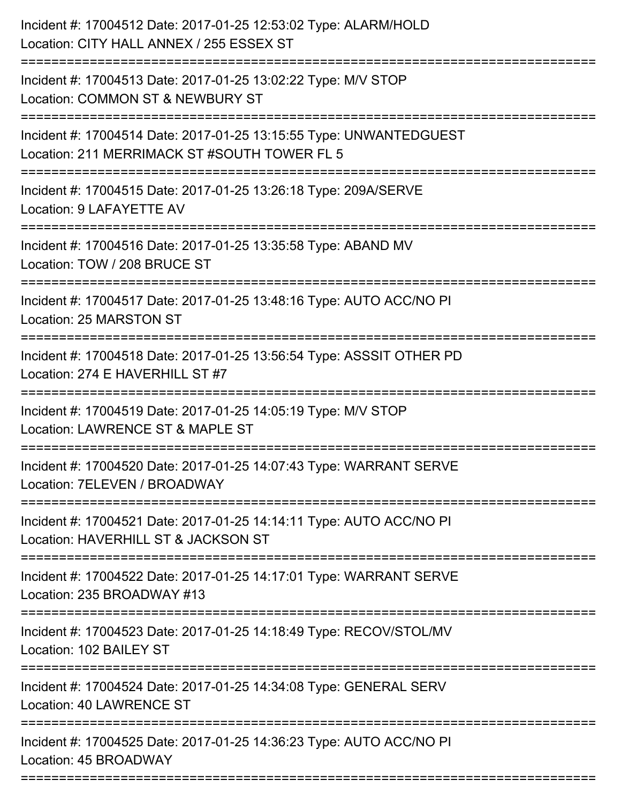| Incident #: 17004512 Date: 2017-01-25 12:53:02 Type: ALARM/HOLD<br>Location: CITY HALL ANNEX / 255 ESSEX ST        |
|--------------------------------------------------------------------------------------------------------------------|
| Incident #: 17004513 Date: 2017-01-25 13:02:22 Type: M/V STOP<br>Location: COMMON ST & NEWBURY ST                  |
| Incident #: 17004514 Date: 2017-01-25 13:15:55 Type: UNWANTEDGUEST<br>Location: 211 MERRIMACK ST #SOUTH TOWER FL 5 |
| Incident #: 17004515 Date: 2017-01-25 13:26:18 Type: 209A/SERVE<br>Location: 9 LAFAYETTE AV                        |
| Incident #: 17004516 Date: 2017-01-25 13:35:58 Type: ABAND MV<br>Location: TOW / 208 BRUCE ST                      |
| Incident #: 17004517 Date: 2017-01-25 13:48:16 Type: AUTO ACC/NO PI<br>Location: 25 MARSTON ST                     |
| Incident #: 17004518 Date: 2017-01-25 13:56:54 Type: ASSSIT OTHER PD<br>Location: 274 E HAVERHILL ST #7            |
| Incident #: 17004519 Date: 2017-01-25 14:05:19 Type: M/V STOP<br>Location: LAWRENCE ST & MAPLE ST                  |
| Incident #: 17004520 Date: 2017-01-25 14:07:43 Type: WARRANT SERVE<br>Location: 7ELEVEN / BROADWAY                 |
| Incident #: 17004521 Date: 2017-01-25 14:14:11 Type: AUTO ACC/NO PI<br>Location: HAVERHILL ST & JACKSON ST         |
| Incident #: 17004522 Date: 2017-01-25 14:17:01 Type: WARRANT SERVE<br>Location: 235 BROADWAY #13                   |
| Incident #: 17004523 Date: 2017-01-25 14:18:49 Type: RECOV/STOL/MV<br>Location: 102 BAILEY ST                      |
| Incident #: 17004524 Date: 2017-01-25 14:34:08 Type: GENERAL SERV<br>Location: 40 LAWRENCE ST                      |
| Incident #: 17004525 Date: 2017-01-25 14:36:23 Type: AUTO ACC/NO PI<br>Location: 45 BROADWAY                       |
|                                                                                                                    |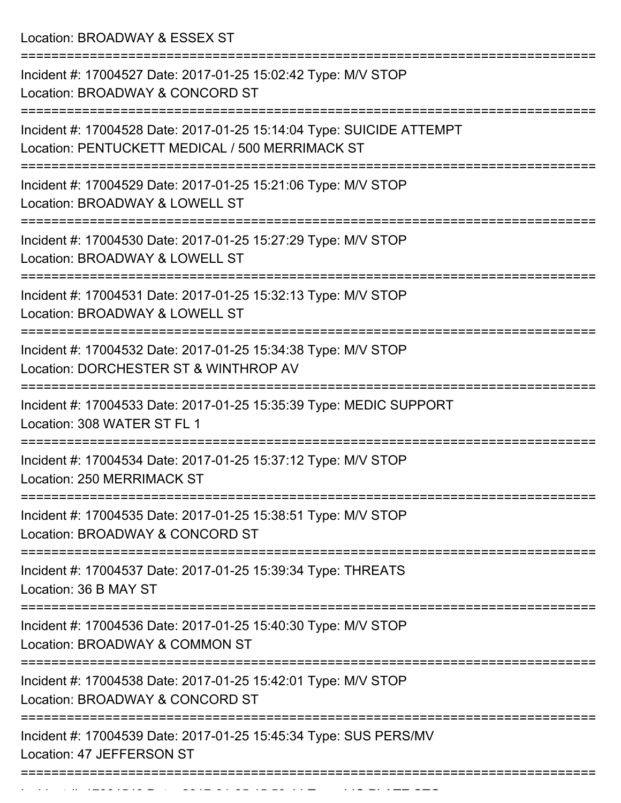Location: BROADWAY & ESSEX ST

| Incident #: 17004527 Date: 2017-01-25 15:02:42 Type: M/V STOP<br>Location: BROADWAY & CONCORD ST                        |
|-------------------------------------------------------------------------------------------------------------------------|
| Incident #: 17004528 Date: 2017-01-25 15:14:04 Type: SUICIDE ATTEMPT<br>Location: PENTUCKETT MEDICAL / 500 MERRIMACK ST |
| Incident #: 17004529 Date: 2017-01-25 15:21:06 Type: M/V STOP<br>Location: BROADWAY & LOWELL ST                         |
| Incident #: 17004530 Date: 2017-01-25 15:27:29 Type: M/V STOP<br>Location: BROADWAY & LOWELL ST                         |
| Incident #: 17004531 Date: 2017-01-25 15:32:13 Type: M/V STOP<br>Location: BROADWAY & LOWELL ST                         |
| Incident #: 17004532 Date: 2017-01-25 15:34:38 Type: M/V STOP<br>Location: DORCHESTER ST & WINTHROP AV                  |
| Incident #: 17004533 Date: 2017-01-25 15:35:39 Type: MEDIC SUPPORT<br>Location: 308 WATER ST FL 1                       |
| Incident #: 17004534 Date: 2017-01-25 15:37:12 Type: M/V STOP<br>Location: 250 MERRIMACK ST                             |
| Incident #: 17004535 Date: 2017-01-25 15:38:51 Type: M/V STOP<br>Location: BROADWAY & CONCORD ST                        |
| Incident #: 17004537 Date: 2017-01-25 15:39:34 Type: THREATS<br>Location: 36 B MAY ST                                   |
| Incident #: 17004536 Date: 2017-01-25 15:40:30 Type: M/V STOP<br>Location: BROADWAY & COMMON ST                         |
| Incident #: 17004538 Date: 2017-01-25 15:42:01 Type: M/V STOP<br>Location: BROADWAY & CONCORD ST                        |
| Incident #: 17004539 Date: 2017-01-25 15:45:34 Type: SUS PERS/MV<br>Location: 47 JEFFERSON ST                           |
|                                                                                                                         |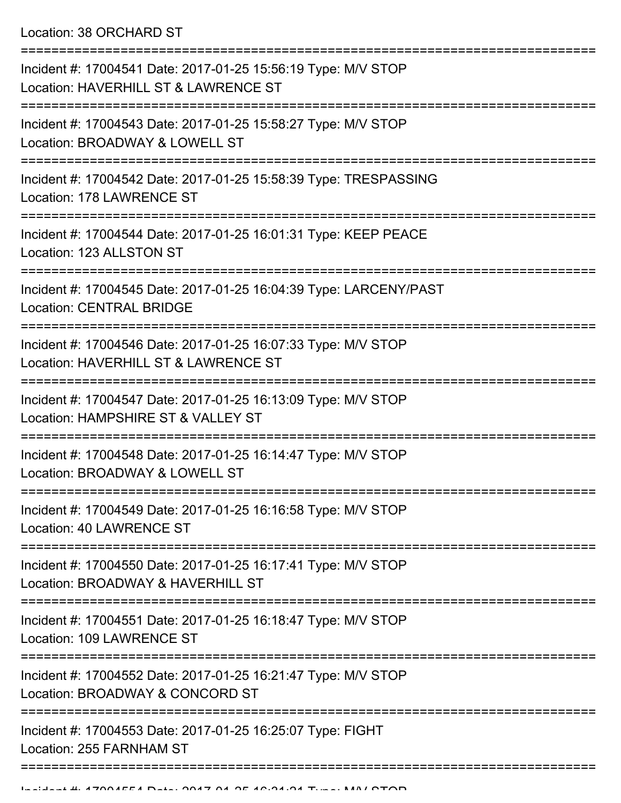Location: 38 ORCHARD ST

| Incident #: 17004541 Date: 2017-01-25 15:56:19 Type: M/V STOP<br>Location: HAVERHILL ST & LAWRENCE ST         |
|---------------------------------------------------------------------------------------------------------------|
| Incident #: 17004543 Date: 2017-01-25 15:58:27 Type: M/V STOP<br>Location: BROADWAY & LOWELL ST               |
| Incident #: 17004542 Date: 2017-01-25 15:58:39 Type: TRESPASSING<br>Location: 178 LAWRENCE ST                 |
| Incident #: 17004544 Date: 2017-01-25 16:01:31 Type: KEEP PEACE<br>Location: 123 ALLSTON ST                   |
| Incident #: 17004545 Date: 2017-01-25 16:04:39 Type: LARCENY/PAST<br><b>Location: CENTRAL BRIDGE</b>          |
| Incident #: 17004546 Date: 2017-01-25 16:07:33 Type: M/V STOP<br>Location: HAVERHILL ST & LAWRENCE ST         |
| Incident #: 17004547 Date: 2017-01-25 16:13:09 Type: M/V STOP<br>Location: HAMPSHIRE ST & VALLEY ST           |
| Incident #: 17004548 Date: 2017-01-25 16:14:47 Type: M/V STOP<br>Location: BROADWAY & LOWELL ST               |
| Incident #: 17004549 Date: 2017-01-25 16:16:58 Type: M/V STOP<br>Location: 40 LAWRENCE ST<br>---------------- |
| Incident #: 17004550 Date: 2017-01-25 16:17:41 Type: M/V STOP<br>Location: BROADWAY & HAVERHILL ST            |
| Incident #: 17004551 Date: 2017-01-25 16:18:47 Type: M/V STOP<br>Location: 109 LAWRENCE ST                    |
| Incident #: 17004552 Date: 2017-01-25 16:21:47 Type: M/V STOP<br>Location: BROADWAY & CONCORD ST              |
| Incident #: 17004553 Date: 2017-01-25 16:25:07 Type: FIGHT<br>Location: 255 FARNHAM ST                        |
|                                                                                                               |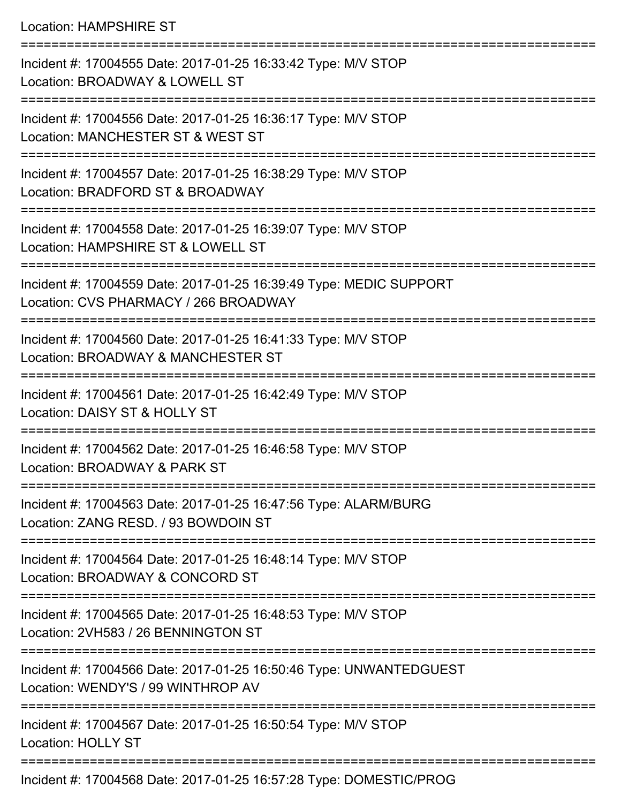## Location: HAMPSHIRE ST

| Incident #: 17004555 Date: 2017-01-25 16:33:42 Type: M/V STOP<br>Location: BROADWAY & LOWELL ST             |
|-------------------------------------------------------------------------------------------------------------|
| Incident #: 17004556 Date: 2017-01-25 16:36:17 Type: M/V STOP<br>Location: MANCHESTER ST & WEST ST          |
| Incident #: 17004557 Date: 2017-01-25 16:38:29 Type: M/V STOP<br>Location: BRADFORD ST & BROADWAY           |
| Incident #: 17004558 Date: 2017-01-25 16:39:07 Type: M/V STOP<br>Location: HAMPSHIRE ST & LOWELL ST         |
| Incident #: 17004559 Date: 2017-01-25 16:39:49 Type: MEDIC SUPPORT<br>Location: CVS PHARMACY / 266 BROADWAY |
| Incident #: 17004560 Date: 2017-01-25 16:41:33 Type: M/V STOP<br>Location: BROADWAY & MANCHESTER ST         |
| Incident #: 17004561 Date: 2017-01-25 16:42:49 Type: M/V STOP<br>Location: DAISY ST & HOLLY ST              |
| Incident #: 17004562 Date: 2017-01-25 16:46:58 Type: M/V STOP<br>Location: BROADWAY & PARK ST               |
| Incident #: 17004563 Date: 2017-01-25 16:47:56 Type: ALARM/BURG<br>Location: ZANG RESD. / 93 BOWDOIN ST     |
| Incident #: 17004564 Date: 2017-01-25 16:48:14 Type: M/V STOP<br>Location: BROADWAY & CONCORD ST            |
| Incident #: 17004565 Date: 2017-01-25 16:48:53 Type: M/V STOP<br>Location: 2VH583 / 26 BENNINGTON ST        |
| Incident #: 17004566 Date: 2017-01-25 16:50:46 Type: UNWANTEDGUEST<br>Location: WENDY'S / 99 WINTHROP AV    |
| Incident #: 17004567 Date: 2017-01-25 16:50:54 Type: M/V STOP<br><b>Location: HOLLY ST</b>                  |
| Incident #: 17004568 Date: 2017-01-25 16:57:28 Type: DOMESTIC/PROG                                          |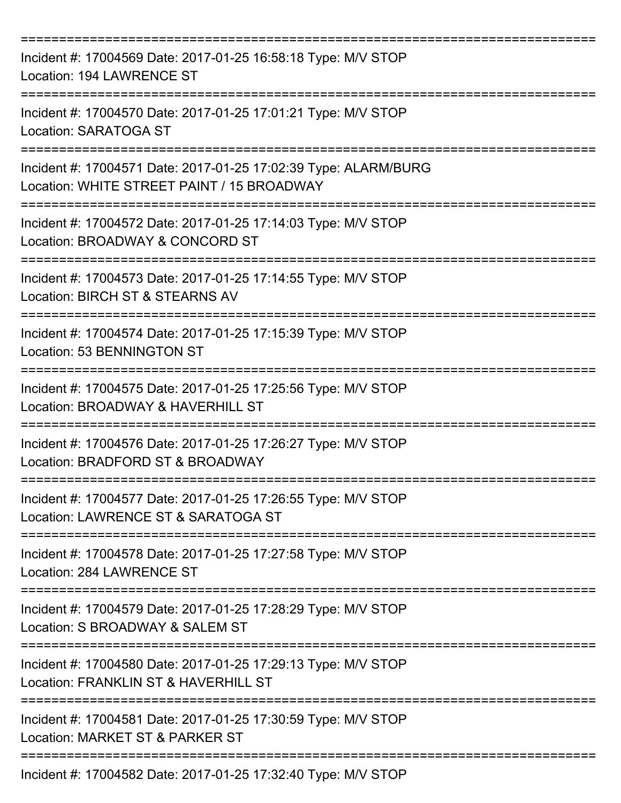| Incident #: 17004569 Date: 2017-01-25 16:58:18 Type: M/V STOP<br>Location: 194 LAWRENCE ST                    |
|---------------------------------------------------------------------------------------------------------------|
| Incident #: 17004570 Date: 2017-01-25 17:01:21 Type: M/V STOP<br><b>Location: SARATOGA ST</b>                 |
| Incident #: 17004571 Date: 2017-01-25 17:02:39 Type: ALARM/BURG<br>Location: WHITE STREET PAINT / 15 BROADWAY |
| Incident #: 17004572 Date: 2017-01-25 17:14:03 Type: M/V STOP<br>Location: BROADWAY & CONCORD ST              |
| Incident #: 17004573 Date: 2017-01-25 17:14:55 Type: M/V STOP<br>Location: BIRCH ST & STEARNS AV              |
| Incident #: 17004574 Date: 2017-01-25 17:15:39 Type: M/V STOP<br>Location: 53 BENNINGTON ST                   |
| Incident #: 17004575 Date: 2017-01-25 17:25:56 Type: M/V STOP<br>Location: BROADWAY & HAVERHILL ST            |
| Incident #: 17004576 Date: 2017-01-25 17:26:27 Type: M/V STOP<br>Location: BRADFORD ST & BROADWAY             |
| Incident #: 17004577 Date: 2017-01-25 17:26:55 Type: M/V STOP<br>Location: LAWRENCE ST & SARATOGA ST          |
| Incident #: 17004578 Date: 2017-01-25 17:27:58 Type: M/V STOP<br>Location: 284 LAWRENCE ST                    |
| Incident #: 17004579 Date: 2017-01-25 17:28:29 Type: M/V STOP<br>Location: S BROADWAY & SALEM ST              |
| Incident #: 17004580 Date: 2017-01-25 17:29:13 Type: M/V STOP<br>Location: FRANKLIN ST & HAVERHILL ST         |
| Incident #: 17004581 Date: 2017-01-25 17:30:59 Type: M/V STOP<br>Location: MARKET ST & PARKER ST              |
| Incident #: 17004582 Date: 2017-01-25 17:32:40 Type: M/V STOP                                                 |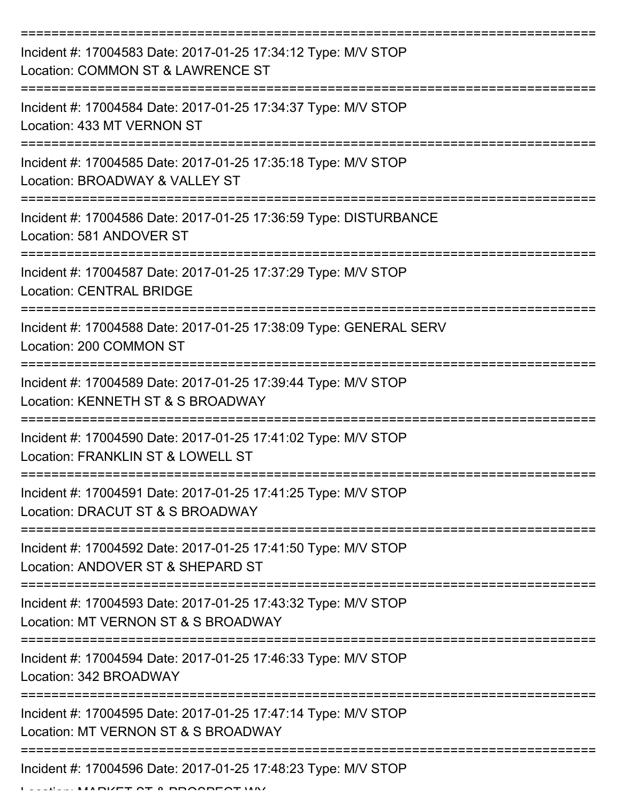| Incident #: 17004583 Date: 2017-01-25 17:34:12 Type: M/V STOP<br>Location: COMMON ST & LAWRENCE ST   |
|------------------------------------------------------------------------------------------------------|
| Incident #: 17004584 Date: 2017-01-25 17:34:37 Type: M/V STOP<br>Location: 433 MT VERNON ST          |
| Incident #: 17004585 Date: 2017-01-25 17:35:18 Type: M/V STOP<br>Location: BROADWAY & VALLEY ST      |
| Incident #: 17004586 Date: 2017-01-25 17:36:59 Type: DISTURBANCE<br>Location: 581 ANDOVER ST         |
| Incident #: 17004587 Date: 2017-01-25 17:37:29 Type: M/V STOP<br><b>Location: CENTRAL BRIDGE</b>     |
| Incident #: 17004588 Date: 2017-01-25 17:38:09 Type: GENERAL SERV<br>Location: 200 COMMON ST         |
| Incident #: 17004589 Date: 2017-01-25 17:39:44 Type: M/V STOP<br>Location: KENNETH ST & S BROADWAY   |
| Incident #: 17004590 Date: 2017-01-25 17:41:02 Type: M/V STOP<br>Location: FRANKLIN ST & LOWELL ST   |
| Incident #: 17004591 Date: 2017-01-25 17:41:25 Type: M/V STOP<br>Location: DRACUT ST & S BROADWAY    |
| Incident #: 17004592 Date: 2017-01-25 17:41:50 Type: M/V STOP<br>Location: ANDOVER ST & SHEPARD ST   |
| Incident #: 17004593 Date: 2017-01-25 17:43:32 Type: M/V STOP<br>Location: MT VERNON ST & S BROADWAY |
| Incident #: 17004594 Date: 2017-01-25 17:46:33 Type: M/V STOP<br>Location: 342 BROADWAY              |
| Incident #: 17004595 Date: 2017-01-25 17:47:14 Type: M/V STOP<br>Location: MT VERNON ST & S BROADWAY |
| Incident #: 17004596 Date: 2017-01-25 17:48:23 Type: M/V STOP<br>$\blacksquare$                      |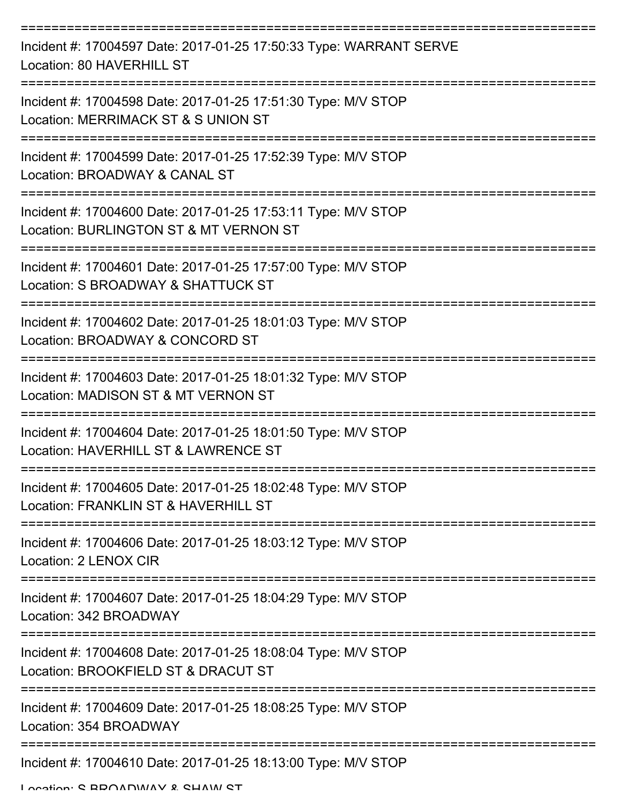| Incident #: 17004597 Date: 2017-01-25 17:50:33 Type: WARRANT SERVE<br>Location: 80 HAVERHILL ST         |
|---------------------------------------------------------------------------------------------------------|
| Incident #: 17004598 Date: 2017-01-25 17:51:30 Type: M/V STOP<br>Location: MERRIMACK ST & S UNION ST    |
| Incident #: 17004599 Date: 2017-01-25 17:52:39 Type: M/V STOP<br>Location: BROADWAY & CANAL ST          |
| Incident #: 17004600 Date: 2017-01-25 17:53:11 Type: M/V STOP<br>Location: BURLINGTON ST & MT VERNON ST |
| Incident #: 17004601 Date: 2017-01-25 17:57:00 Type: M/V STOP<br>Location: S BROADWAY & SHATTUCK ST     |
| Incident #: 17004602 Date: 2017-01-25 18:01:03 Type: M/V STOP<br>Location: BROADWAY & CONCORD ST        |
| Incident #: 17004603 Date: 2017-01-25 18:01:32 Type: M/V STOP<br>Location: MADISON ST & MT VERNON ST    |
| Incident #: 17004604 Date: 2017-01-25 18:01:50 Type: M/V STOP<br>Location: HAVERHILL ST & LAWRENCE ST   |
| Incident #: 17004605 Date: 2017-01-25 18:02:48 Type: M/V STOP<br>Location: FRANKLIN ST & HAVERHILL ST   |
| Incident #: 17004606 Date: 2017-01-25 18:03:12 Type: M/V STOP<br>Location: 2 LENOX CIR                  |
| Incident #: 17004607 Date: 2017-01-25 18:04:29 Type: M/V STOP<br>Location: 342 BROADWAY                 |
| Incident #: 17004608 Date: 2017-01-25 18:08:04 Type: M/V STOP<br>Location: BROOKFIELD ST & DRACUT ST    |
| Incident #: 17004609 Date: 2017-01-25 18:08:25 Type: M/V STOP<br>Location: 354 BROADWAY                 |
| Incident #: 17004610 Date: 2017-01-25 18:13:00 Type: M/V STOP                                           |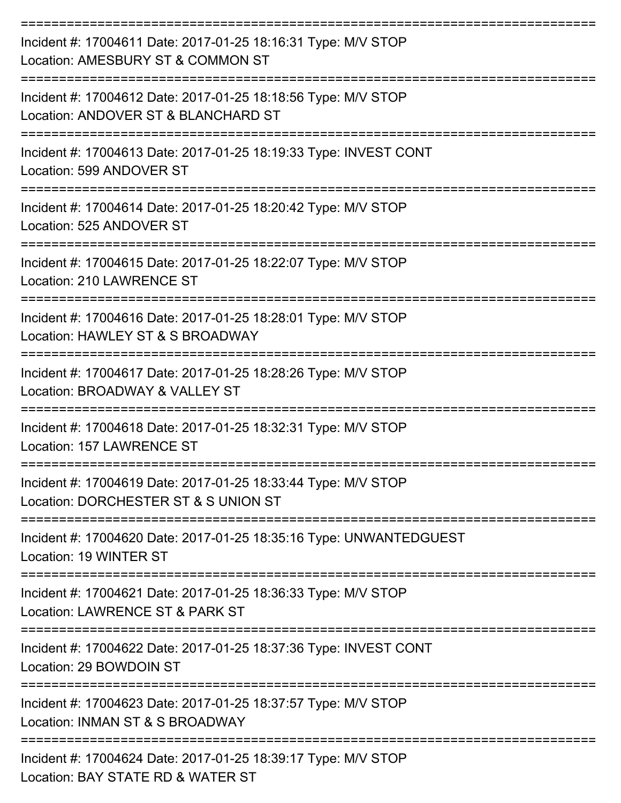| Incident #: 17004611 Date: 2017-01-25 18:16:31 Type: M/V STOP<br>Location: AMESBURY ST & COMMON ST    |
|-------------------------------------------------------------------------------------------------------|
| Incident #: 17004612 Date: 2017-01-25 18:18:56 Type: M/V STOP<br>Location: ANDOVER ST & BLANCHARD ST  |
| Incident #: 17004613 Date: 2017-01-25 18:19:33 Type: INVEST CONT<br>Location: 599 ANDOVER ST          |
| Incident #: 17004614 Date: 2017-01-25 18:20:42 Type: M/V STOP<br>Location: 525 ANDOVER ST             |
| Incident #: 17004615 Date: 2017-01-25 18:22:07 Type: M/V STOP<br>Location: 210 LAWRENCE ST            |
| Incident #: 17004616 Date: 2017-01-25 18:28:01 Type: M/V STOP<br>Location: HAWLEY ST & S BROADWAY     |
| Incident #: 17004617 Date: 2017-01-25 18:28:26 Type: M/V STOP<br>Location: BROADWAY & VALLEY ST       |
| Incident #: 17004618 Date: 2017-01-25 18:32:31 Type: M/V STOP<br>Location: 157 LAWRENCE ST            |
| Incident #: 17004619 Date: 2017-01-25 18:33:44 Type: M/V STOP<br>Location: DORCHESTER ST & S UNION ST |
| Incident #: 17004620 Date: 2017-01-25 18:35:16 Type: UNWANTEDGUEST<br>Location: 19 WINTER ST          |
| Incident #: 17004621 Date: 2017-01-25 18:36:33 Type: M/V STOP<br>Location: LAWRENCE ST & PARK ST      |
| Incident #: 17004622 Date: 2017-01-25 18:37:36 Type: INVEST CONT<br>Location: 29 BOWDOIN ST           |
| Incident #: 17004623 Date: 2017-01-25 18:37:57 Type: M/V STOP<br>Location: INMAN ST & S BROADWAY      |
| Incident #: 17004624 Date: 2017-01-25 18:39:17 Type: M/V STOP<br>Location: BAY STATE RD & WATER ST    |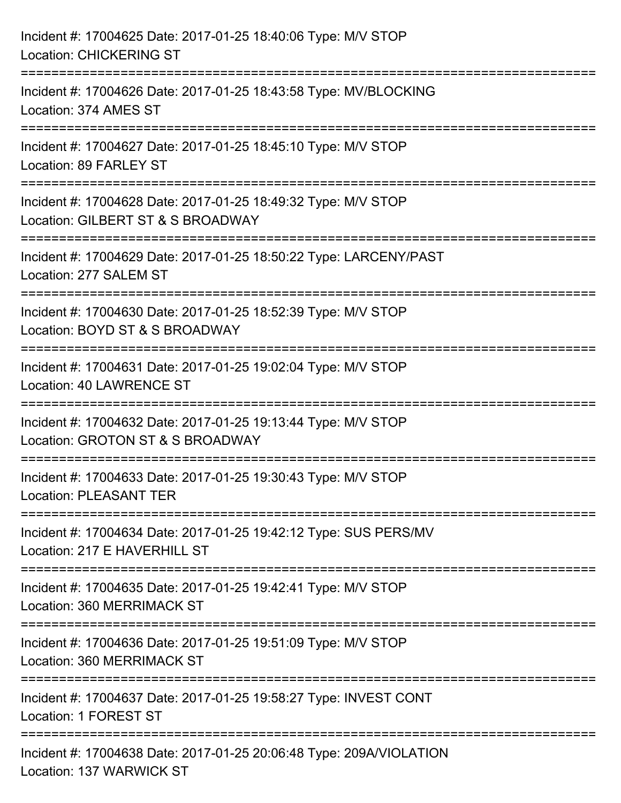| Incident #: 17004625 Date: 2017-01-25 18:40:06 Type: M/V STOP<br><b>Location: CHICKERING ST</b>                                 |
|---------------------------------------------------------------------------------------------------------------------------------|
| Incident #: 17004626 Date: 2017-01-25 18:43:58 Type: MV/BLOCKING<br>Location: 374 AMES ST                                       |
| Incident #: 17004627 Date: 2017-01-25 18:45:10 Type: M/V STOP<br>Location: 89 FARLEY ST<br>==============================       |
| Incident #: 17004628 Date: 2017-01-25 18:49:32 Type: M/V STOP<br>Location: GILBERT ST & S BROADWAY<br>========================= |
| Incident #: 17004629 Date: 2017-01-25 18:50:22 Type: LARCENY/PAST<br>Location: 277 SALEM ST                                     |
| Incident #: 17004630 Date: 2017-01-25 18:52:39 Type: M/V STOP<br>Location: BOYD ST & S BROADWAY                                 |
| Incident #: 17004631 Date: 2017-01-25 19:02:04 Type: M/V STOP<br><b>Location: 40 LAWRENCE ST</b>                                |
| Incident #: 17004632 Date: 2017-01-25 19:13:44 Type: M/V STOP<br>Location: GROTON ST & S BROADWAY                               |
| Incident #: 17004633 Date: 2017-01-25 19:30:43 Type: M/V STOP<br><b>Location: PLEASANT TER</b>                                  |
| Incident #: 17004634 Date: 2017-01-25 19:42:12 Type: SUS PERS/MV<br>Location: 217 E HAVERHILL ST                                |
| Incident #: 17004635 Date: 2017-01-25 19:42:41 Type: M/V STOP<br>Location: 360 MERRIMACK ST                                     |
| Incident #: 17004636 Date: 2017-01-25 19:51:09 Type: M/V STOP<br>Location: 360 MERRIMACK ST                                     |
| Incident #: 17004637 Date: 2017-01-25 19:58:27 Type: INVEST CONT<br>Location: 1 FOREST ST                                       |
| Incident #: 17004638 Date: 2017-01-25 20:06:48 Type: 209A/VIOLATION<br>Location: 137 WARWICK ST                                 |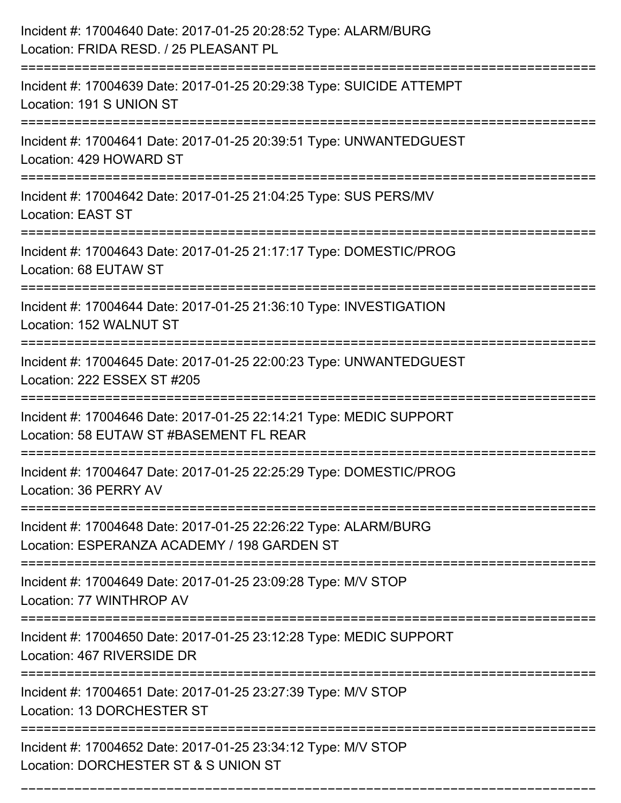| Incident #: 17004640 Date: 2017-01-25 20:28:52 Type: ALARM/BURG<br>Location: FRIDA RESD. / 25 PLEASANT PL                                |
|------------------------------------------------------------------------------------------------------------------------------------------|
| Incident #: 17004639 Date: 2017-01-25 20:29:38 Type: SUICIDE ATTEMPT<br>Location: 191 S UNION ST                                         |
| Incident #: 17004641 Date: 2017-01-25 20:39:51 Type: UNWANTEDGUEST<br>Location: 429 HOWARD ST                                            |
| Incident #: 17004642 Date: 2017-01-25 21:04:25 Type: SUS PERS/MV<br><b>Location: EAST ST</b>                                             |
| Incident #: 17004643 Date: 2017-01-25 21:17:17 Type: DOMESTIC/PROG<br>Location: 68 EUTAW ST                                              |
| Incident #: 17004644 Date: 2017-01-25 21:36:10 Type: INVESTIGATION<br>Location: 152 WALNUT ST                                            |
| Incident #: 17004645 Date: 2017-01-25 22:00:23 Type: UNWANTEDGUEST<br>Location: 222 ESSEX ST #205                                        |
| Incident #: 17004646 Date: 2017-01-25 22:14:21 Type: MEDIC SUPPORT<br>Location: 58 EUTAW ST #BASEMENT FL REAR                            |
| Incident #: 17004647 Date: 2017-01-25 22:25:29 Type: DOMESTIC/PROG<br>Location: 36 PERRY AV                                              |
| Incident #: 17004648 Date: 2017-01-25 22:26:22 Type: ALARM/BURG<br>Location: ESPERANZA ACADEMY / 198 GARDEN ST<br>====================== |
| Incident #: 17004649 Date: 2017-01-25 23:09:28 Type: M/V STOP<br>Location: 77 WINTHROP AV                                                |
| ==================<br>Incident #: 17004650 Date: 2017-01-25 23:12:28 Type: MEDIC SUPPORT<br>Location: 467 RIVERSIDE DR                   |
| ==========================<br>Incident #: 17004651 Date: 2017-01-25 23:27:39 Type: M/V STOP<br>Location: 13 DORCHESTER ST                |
| Incident #: 17004652 Date: 2017-01-25 23:34:12 Type: M/V STOP<br>Location: DORCHESTER ST & S UNION ST                                    |

===========================================================================